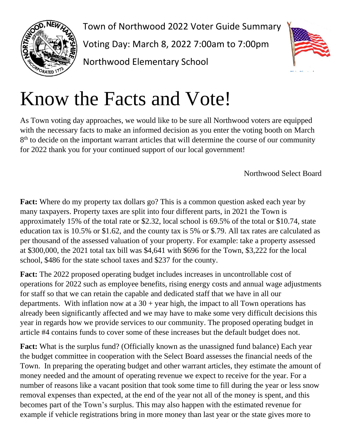

Town of Northwood 2022 Voter Guide Summary Voting Day: March 8, 2022 7:00am to 7:00pm Northwood Elementary School



## Know the Facts and Vote!

As Town voting day approaches, we would like to be sure all Northwood voters are equipped with the necessary facts to make an informed decision as you enter the voting booth on March 8<sup>th</sup> to decide on the important warrant articles that will determine the course of our community for 2022 thank you for your continued support of our local government!

Northwood Select Board

**Fact:** Where do my property tax dollars go? This is a common question asked each year by many taxpayers. Property taxes are split into four different parts, in 2021 the Town is approximately 15% of the total rate or \$2.32, local school is 69.5% of the total or \$10.74, state education tax is 10.5% or \$1.62, and the county tax is 5% or \$.79. All tax rates are calculated as per thousand of the assessed valuation of your property. For example: take a property assessed at \$300,000, the 2021 total tax bill was \$4,641 with \$696 for the Town, \$3,222 for the local school, \$486 for the state school taxes and \$237 for the county.

**Fact:** The 2022 proposed operating budget includes increases in uncontrollable cost of operations for 2022 such as employee benefits, rising energy costs and annual wage adjustments for staff so that we can retain the capable and dedicated staff that we have in all our departments. With inflation now at a  $30 +$  year high, the impact to all Town operations has already been significantly affected and we may have to make some very difficult decisions this year in regards how we provide services to our community. The proposed operating budget in article #4 contains funds to cover some of these increases but the default budget does not.

**Fact:** What is the surplus fund? (Officially known as the unassigned fund balance) Each year the budget committee in cooperation with the Select Board assesses the financial needs of the Town. In preparing the operating budget and other warrant articles, they estimate the amount of money needed and the amount of operating revenue we expect to receive for the year. For a number of reasons like a vacant position that took some time to fill during the year or less snow removal expenses than expected, at the end of the year not all of the money is spent, and this becomes part of the Town's surplus. This may also happen with the estimated revenue for example if vehicle registrations bring in more money than last year or the state gives more to